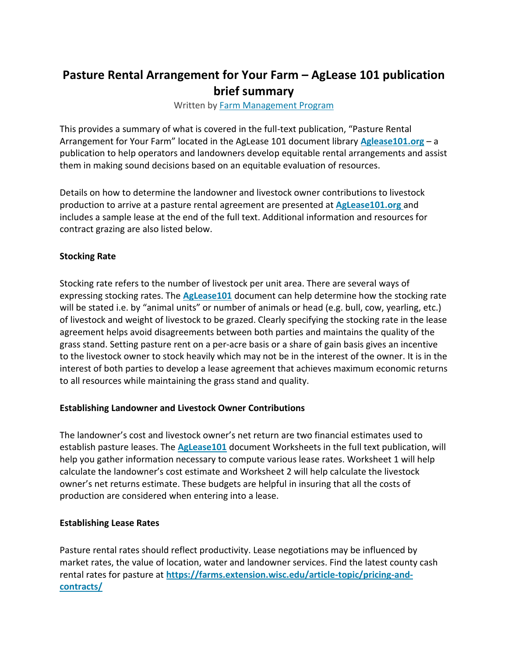# **Pasture Rental Arrangement for Your Farm – AgLease 101 publication brief summary**

Written by [Farm Management Program](https://farms.extension.wisc.edu/author/farm-management/)

This provides a summary of what is covered in the full-text publication, "Pasture Rental Arrangement for Your Farm" located in the AgLease 101 document library **[Aglease101.org](http://aglease101.org/)** – a publication to help operators and landowners develop equitable rental arrangements and assist them in making sound decisions based on an equitable evaluation of resources.

Details on how to determine the landowner and livestock owner contributions to livestock production to arrive at a pasture rental agreement are presented at **[AgLease101.org](http://aglease101.org/)** and includes a sample lease at the end of the full text. Additional information and resources for contract grazing are also listed below.

### **Stocking Rate**

Stocking rate refers to the number of livestock per unit area. There are several ways of expressing stocking rates. The **[AgLease101](http://aglease101.org/)** document can help determine how the stocking rate will be stated i.e. by "animal units" or number of animals or head (e.g. bull, cow, yearling, etc.) of livestock and weight of livestock to be grazed. Clearly specifying the stocking rate in the lease agreement helps avoid disagreements between both parties and maintains the quality of the grass stand. Setting pasture rent on a per-acre basis or a share of gain basis gives an incentive to the livestock owner to stock heavily which may not be in the interest of the owner. It is in the interest of both parties to develop a lease agreement that achieves maximum economic returns to all resources while maintaining the grass stand and quality.

## **Establishing Landowner and Livestock Owner Contributions**

The landowner's cost and livestock owner's net return are two financial estimates used to establish pasture leases. The **[AgLease101](http://aglease101.org/)** document Worksheets in the full text publication, will help you gather information necessary to compute various lease rates. Worksheet 1 will help calculate the landowner's cost estimate and Worksheet 2 will help calculate the livestock owner's net returns estimate. These budgets are helpful in insuring that all the costs of production are considered when entering into a lease.

#### **Establishing Lease Rates**

Pasture rental rates should reflect productivity. Lease negotiations may be influenced by market rates, the value of location, water and landowner services. Find the latest county cash rental rates for pasture at **[https://farms.extension.wisc.edu/article-topic/pricing-and](https://farms.extension.wisc.edu/article-topic/pricing-and-contracts/)[contracts/](https://farms.extension.wisc.edu/article-topic/pricing-and-contracts/)**